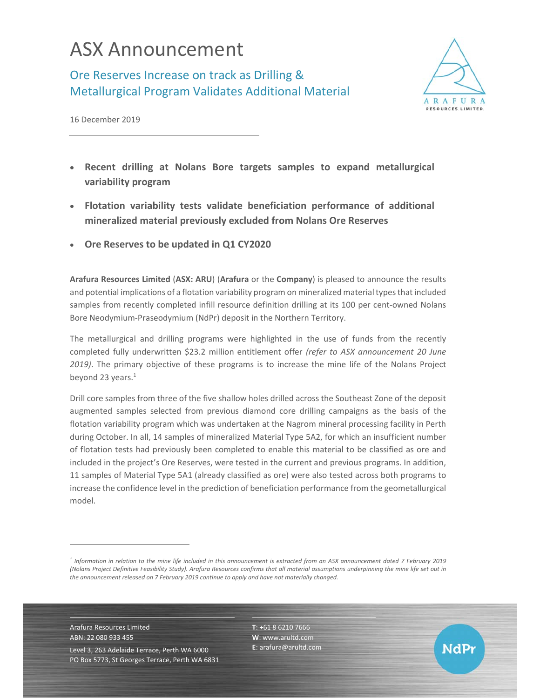## ASX Announcement

Ore Reserves Increase on track as Drilling & Metallurgical Program Validates Additional Material



NdPr

16 December 2019

- **Recent drilling at Nolans Bore targets samples to expand metallurgical variability program**
- **Flotation variability tests validate beneficiation performance of additional mineralized material previously excluded from Nolans Ore Reserves**
- **Ore Reserves to be updated in Q1 CY2020**

**Arafura Resources Limited** (**ASX: ARU**) (**Arafura** or the **Company**) is pleased to announce the results and potential implications of a flotation variability program on mineralized material types that included samples from recently completed infill resource definition drilling at its 100 per cent-owned Nolans Bore Neodymium‐Praseodymium (NdPr) deposit in the Northern Territory.

The metallurgical and drilling programs were highlighted in the use of funds from the recently completed fully underwritten \$23.2 million entitlement offer *(refer to ASX announcement 20 June 2019)*. The primary objective of these programs is to increase the mine life of the Nolans Project beyond 23 years. $1$ 

Drill core samples from three of the five shallow holes drilled across the Southeast Zone of the deposit augmented samples selected from previous diamond core drilling campaigns as the basis of the flotation variability program which was undertaken at the Nagrom mineral processing facility in Perth during October. In all, 14 samples of mineralized Material Type 5A2, for which an insufficient number of flotation tests had previously been completed to enable this material to be classified as ore and included in the project's Ore Reserves, were tested in the current and previous programs. In addition, 11 samples of Material Type 5A1 (already classified as ore) were also tested across both programs to increase the confidence level in the prediction of beneficiation performance from the geometallurgical model.

Arafura Resources Limited ABN: 22 080 933 455 Level 3, 263 Adelaide Terrace, Perth WA 6000 PO Box 5773, St Georges Terrace, Perth WA 6831

l

**T**: +61 8 6210 7666 **W**: www.arultd.com **E**: arafura@arultd.com

*<sup>1</sup> Information in relation to the mine life included in this announcement is extracted from an ASX announcement dated 7 February 2019 (Nolans Project Definitive Feasibility Study). Arafura Resources confirms that all material assumptions underpinning the mine life set out in the announcement released on 7 February 2019 continue to apply and have not materially changed.*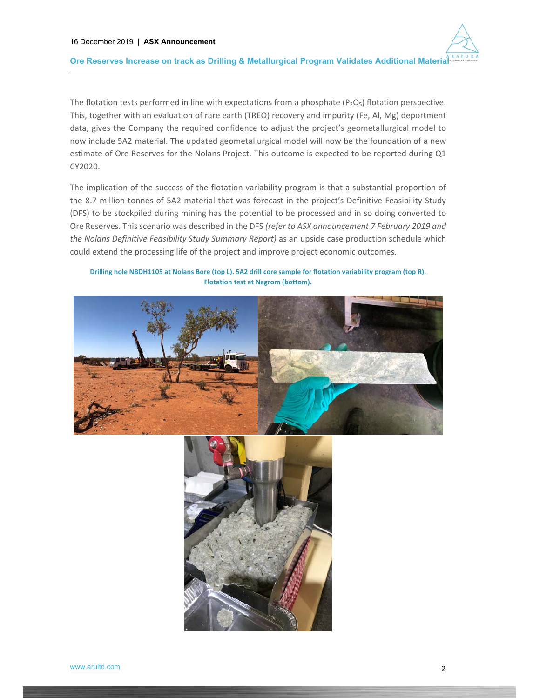

The flotation tests performed in line with expectations from a phosphate  $(P_2O_5)$  flotation perspective. This, together with an evaluation of rare earth (TREO) recovery and impurity (Fe, Al, Mg) deportment data, gives the Company the required confidence to adjust the project's geometallurgical model to now include 5A2 material. The updated geometallurgical model will now be the foundation of a new estimate of Ore Reserves for the Nolans Project. This outcome is expected to be reported during Q1 CY2020.

The implication of the success of the flotation variability program is that a substantial proportion of the 8.7 million tonnes of 5A2 material that was forecast in the project's Definitive Feasibility Study (DFS) to be stockpiled during mining has the potential to be processed and in so doing converted to Ore Reserves. This scenario was described in the DFS *(refer to ASX announcement 7 February 2019 and the Nolans Definitive Feasibility Study Summary Report)* as an upside case production schedule which could extend the processing life of the project and improve project economic outcomes.

**Drilling hole NBDH1105 at Nolans Bore (top L). 5A2 drill core sample for flotation variability program (top R). Flotation test at Nagrom (bottom).** 

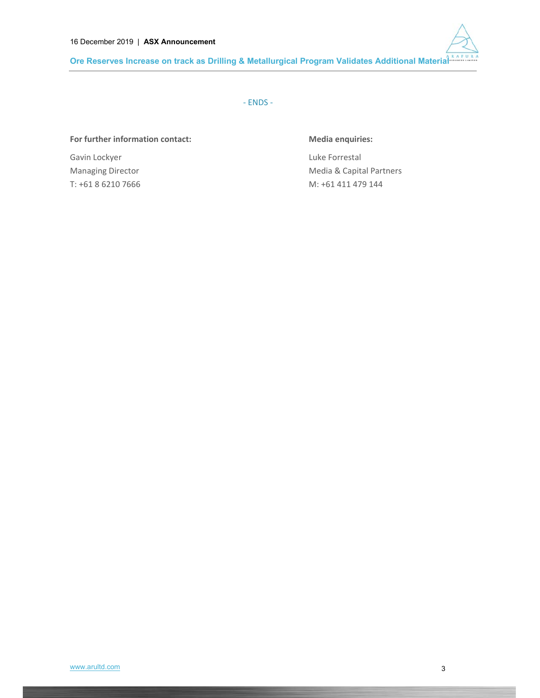

‐ ENDS ‐

## For further information contact: **Media enquiries:**

Gavin Lockyer **Container Containers** Cavin Luke Forrestal

Managing Director **Managing Director 1997** Media & Capital Partners T: +61 8 6210 7666 M: +61 411 479 144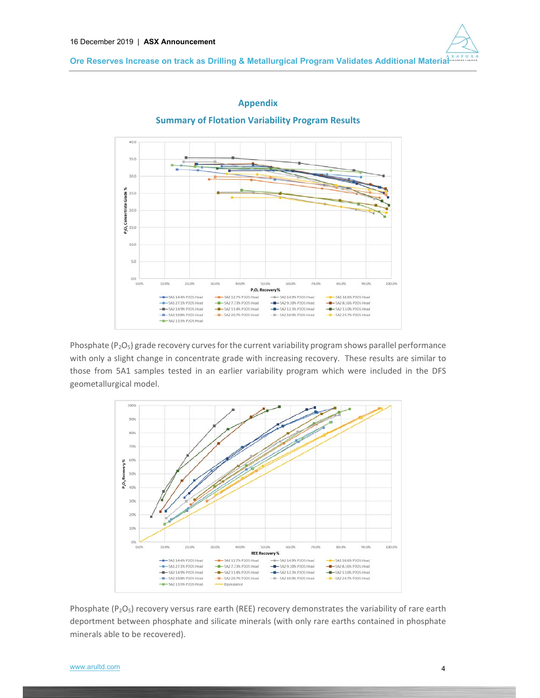**Ore Reserves Increase on track as Drilling & Metallurgical Program Validates Additional Material** 

## **Appendix**

**Summary of Flotation Variability Program Results** 



Phosphate  $(P_2O_5)$  grade recovery curves for the current variability program shows parallel performance with only a slight change in concentrate grade with increasing recovery. These results are similar to those from 5A1 samples tested in an earlier variability program which were included in the DFS geometallurgical model.



Phosphate  $(P_2O_5)$  recovery versus rare earth (REE) recovery demonstrates the variability of rare earth deportment between phosphate and silicate minerals (with only rare earths contained in phosphate minerals able to be recovered).